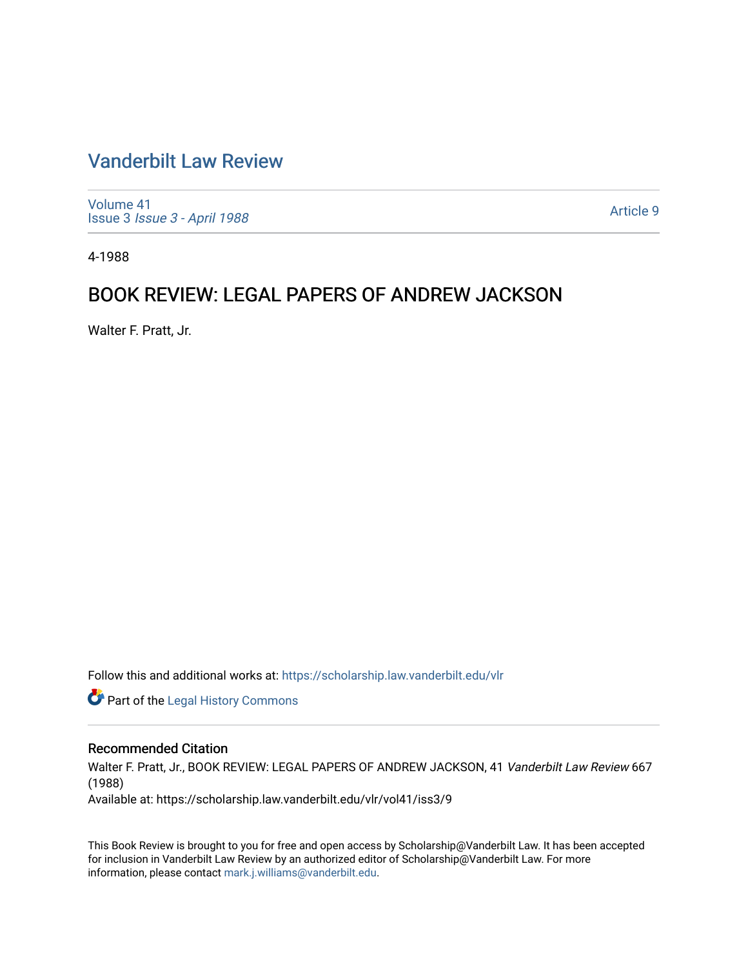## [Vanderbilt Law Review](https://scholarship.law.vanderbilt.edu/vlr)

[Volume 41](https://scholarship.law.vanderbilt.edu/vlr/vol41) Issue 3 [Issue 3 - April 1988](https://scholarship.law.vanderbilt.edu/vlr/vol41/iss3)

[Article 9](https://scholarship.law.vanderbilt.edu/vlr/vol41/iss3/9) 

4-1988

## BOOK REVIEW: LEGAL PAPERS OF ANDREW JACKSON

Walter F. Pratt, Jr.

Follow this and additional works at: [https://scholarship.law.vanderbilt.edu/vlr](https://scholarship.law.vanderbilt.edu/vlr?utm_source=scholarship.law.vanderbilt.edu%2Fvlr%2Fvol41%2Fiss3%2F9&utm_medium=PDF&utm_campaign=PDFCoverPages)

Part of the [Legal History Commons](http://network.bepress.com/hgg/discipline/904?utm_source=scholarship.law.vanderbilt.edu%2Fvlr%2Fvol41%2Fiss3%2F9&utm_medium=PDF&utm_campaign=PDFCoverPages)

## Recommended Citation

Walter F. Pratt, Jr., BOOK REVIEW: LEGAL PAPERS OF ANDREW JACKSON, 41 Vanderbilt Law Review 667 (1988)

Available at: https://scholarship.law.vanderbilt.edu/vlr/vol41/iss3/9

This Book Review is brought to you for free and open access by Scholarship@Vanderbilt Law. It has been accepted for inclusion in Vanderbilt Law Review by an authorized editor of Scholarship@Vanderbilt Law. For more information, please contact [mark.j.williams@vanderbilt.edu](mailto:mark.j.williams@vanderbilt.edu).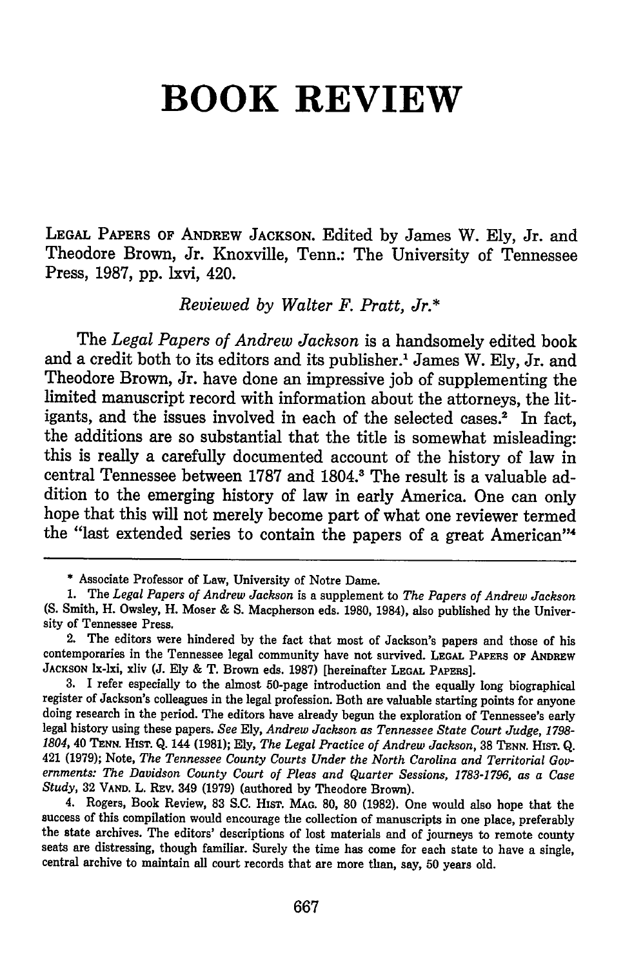## **BOOK REVIEW**

**LEGAL PAPERS OF ANDREW JACKSON.** Edited by James W. **Ely,** Jr. and Theodore Brown, Jr. Knoxville, Tenn.: The University of Tennessee Press, **1987, pp.** lxvi, 420.

*Reviewed by Walter F. Pratt, Jr.\**

The *Legal Papers of Andrew Jackson* is a handsomely edited book and a credit both to its editors and its publisher.<sup>1</sup> James W. Ely, Jr. and Theodore Brown, Jr. have done an impressive job of supplementing the limited manuscript record with information about the attorneys, the litigants, and the issues involved in each of the selected cases.' In fact, the additions are so substantial that the title is somewhat misleading: this is really a carefully documented account of the history of law in central Tennessee between 1787 and 1804.<sup>3</sup> The result is a valuable addition to the emerging history of law in early America. One can only hope that this will not merely become part of what one reviewer termed the "last extended series to contain the papers of a great American'"4

**3. I** refer especially to the almost 50-page introduction and the equally long biographical register of Jackson's colleagues in the legal profession. Both are valuable starting points for anyone doing research in the period. The editors have already begun the exploration of Tennessee's early legal history using these papers. *See* **Ely,** *Andrew Jackson as Tennessee State Court Judge, 1798- 1804,* 40 **TENN.** HisT. **Q.** 144 **(1981); Ely,** *The Legal Practice of Andrew Jackson,* **38 TENN. HisT. Q.** 421 **(1979);** Note, *The Tennessee County Courts Under the North Carolina and Territorial Governments: The Davidson County Court of Pleas and Quarter Sessions, 1783-1796, as a Case Study,* **32 VAND. L. REV.** 349 **(1979)** (authored **by** Theodore Brown).

4. Rogers, Book Review, 83 S.C. HIST. MAG. 80, 80 (1982). One would also hope that the success of this compilation would encourage the collection of manuscripts in one place, preferably the state archives. The editors' des seats are distressing, though familiar. Surely the time has come for each state to have a single, central archive to maintain all court records that are more than, say, **50** years old.

**<sup>\*</sup>** Associate Professor of Law, University of Notre Dame.

**<sup>1.</sup>** The *Legal Papers of Andrew Jackson* is a supplement to *The Papers of Andrew Jackson* **(S.** Smith, H. Owsley, H. Moser **& S.** Macpherson eds. **1980,** 1984), also published **by** the University of Tennessee Press.

<sup>2.</sup> The editors were hindered **by** the fact that most of Jackson's papers and those of his contemporaries in the Tennessee legal community have not survived. **LEGAL PAPERS OF ANDREW JACKSON** IX-iXi, xliv **(J. Ely** & T. Brown eds. **1987)** [hereinafter **LEGAL PAPERS].**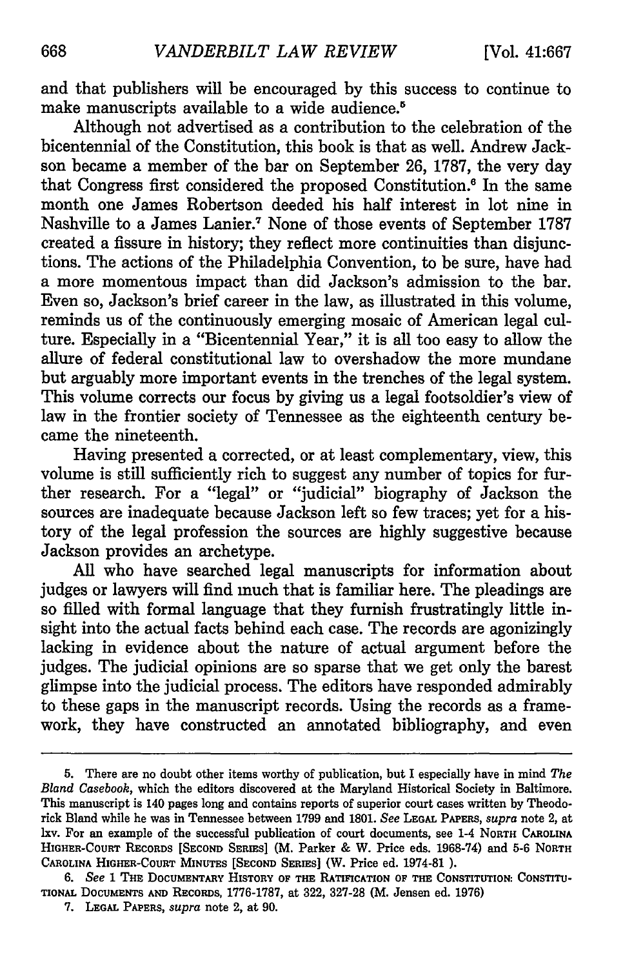and that publishers will be encouraged by this success to continue to make manuscripts available to a wide audience.<sup>5</sup>

Although not advertised as a contribution to the celebration of the bicentennial of the Constitution, this book is that as well. Andrew Jackson became a member of the bar on September 26, 1787, the very day that Congress first considered the proposed Constitution.' In the same month one James Robertson deeded his half interest in lot nine in Nashville to a James Lanier.<sup>7</sup> None of those events of September 1787 created a fissure in history; they reflect more continuities than disjunctions. The actions of the Philadelphia Convention, to be sure, have had a more momentous impact than did Jackson's admission to the bar. Even so, Jackson's brief career in the law, as illustrated in this volume, reminds us of the continuously emerging mosaic of American legal culture. Especially in a "Bicentennial Year," it is all too easy to allow the allure of federal constitutional law to overshadow the more mundane but arguably more important events in the trenches of the legal system. This volume corrects our focus by giving us a legal footsoldier's view of law in the frontier society of Tennessee as the eighteenth century became the nineteenth.

Having presented a corrected, or at least complementary, view, this volume is still sufficiently rich to suggest any number of topics for further research. For a "legal" or "judicial" biography of Jackson the sources are inadequate because Jackson left so few traces; yet for a history of the legal profession the sources are highly suggestive because Jackson provides an archetype.

All who have searched legal manuscripts for information about judges or lawyers will find much that is familiar here. The pleadings are so filled with formal language that they furnish frustratingly little insight into the actual facts behind each case. The records are agonizingly lacking in evidence about the nature of actual argument before the judges. The judicial opinions are so sparse that we get only the barest glimpse into the judicial process. The editors have responded admirably to these gaps in the manuscript records. Using the records as a framework, they have constructed an annotated bibliography, and even

**<sup>5.</sup>** There are no doubt other items worthy of publication, but I especially have in mind *The Bland Casebook,* which the editors discovered at the Maryland Historical Society in Baltimore. This manuscript is 140 pages long and contains reports of superior court cases written by Theodorick Bland while he was in Tennessee between 1799 and **1801.** *See* **LEGAL PAPERS,** *supra* note 2, at lxv. For an example of the successful publication of court documents, see 1-4 **NORTH** CAROLINA HIGHER-COURT RECORDS **[SECOND SERIES]** (M. Parker & W. Price eds. **1968-74)** and **5-6** NORTH **CAROLINA HIGHER-COURT MINUTES [SECOND SERIES]** (W. **Price** ed. **1974-81 ).**

*<sup>6.</sup> See* **1 THE DOCUMENTARY HISTORY OF THE RATIFICATION OF THE CONSTITUTION: CONSTITU-TIONAL DOCUMENTS AND RECORDS, 1776-1787, at 322, 327-28** (M. **Jensen** ed. **1976)**

**<sup>7.</sup> LEGAL** PAPERS, *supra* **note** 2, **at 90.**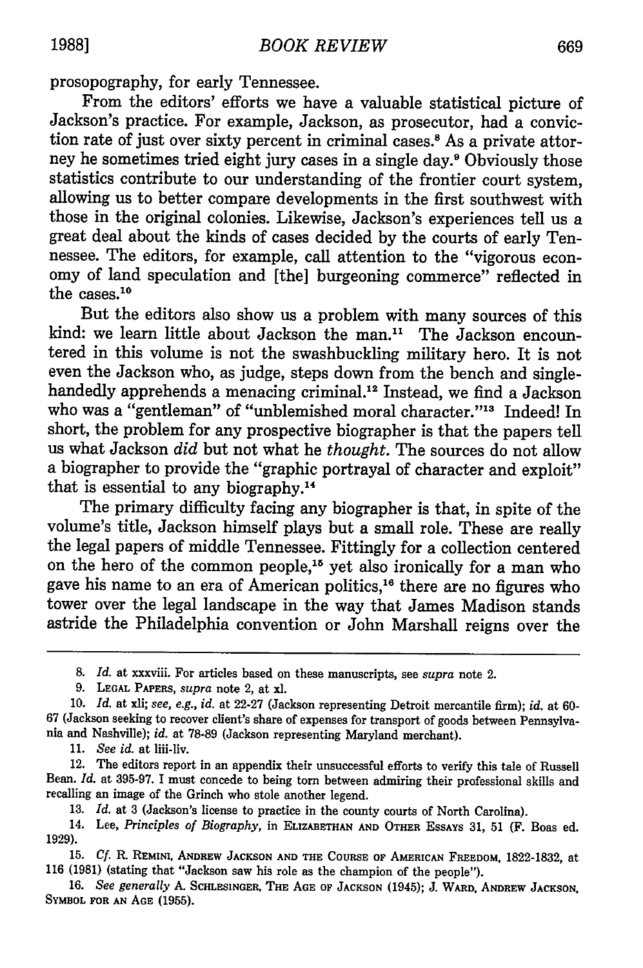prosopography, for early Tennessee.

From the editors' efforts we have a valuable statistical picture of Jackson's practice. For example, Jackson, as prosecutor, had a conviction rate of just over sixty percent in criminal cases.<sup>8</sup> As a private attorney he sometimes tried eight jury cases in a single day." Obviously those statistics contribute to our understanding of the frontier court system, allowing us to better compare developments in the first southwest with those in the original colonies. Likewise, Jackson's experiences tell us a great deal about the kinds of cases decided by the courts of early Tennessee. The editors, for example, call attention to the "vigorous economy of land speculation and [the] burgeoning commerce" reflected in the cases. $10$ 

But the editors also show us a problem with many sources of this kind: we learn little about Jackson the man.<sup>11</sup> The Jackson encountered in this volume is not the swashbuckling military hero. It is not even the Jackson who, as judge, steps down from the bench and singlehandedly apprehends a menacing criminal.<sup>12</sup> Instead, we find a Jackson who was a "gentleman" of "unblemished moral character."<sup>13</sup> Indeed! In short, the problem for any prospective biographer is that the papers tell us what Jackson *did* but not what he *thought.* The sources do not allow a biographer to provide the "graphic portrayal of character and exploit" that is essential to any biography.<sup>14</sup>

The primary difficulty facing any biographer is that, in spite of the volume's title, Jackson himself plays but a small role. These are really the legal papers of middle Tennessee. Fittingly for a collection centered on the hero of the common people,<sup>15</sup> yet also ironically for a man who gave his name to an era of American politics,<sup>16</sup> there are no figures who tower over the legal landscape in the way that James Madison stands astride the Philadelphia convention or John Marshall reigns over the

11. *See id.* at liii-liv.

13. *Id.* at 3 (Jackson's license to practice in the county courts of North Carolina).

<sup>8.</sup> *Id.* at xxxviii. For articles based on these manuscripts, see *supra* note 2.

<sup>9.</sup> LEGAL PAPERS, *supra* note 2, at xl.

<sup>10.</sup> *Id.* at xli; *see, e.g., id.* at 22-27 (Jackson representing Detroit mercantile firm); *id.* at 60- 67 (Jackson seeking to recover client's share of expenses for transport of goods between Pennsylvania and Nashville); *id.* at 78-89 (Jackson representing Maryland merchant).

<sup>12.</sup> The editors report in an appendix their unsuccessful efforts to verify this tale of Russell Bean. *Id.* at 395-97. I must concede to being torn between admiring their professional skills and recalling an image of the Grinch who stole another legend.

<sup>14.</sup> Lee, *Principles of Biography,* in **ELIZABETHAN AND** OTHER ESSAYS 31, 51 (F. Boas ed. 1929).

**<sup>15.</sup>** *Cf.* R. **REMINI,** ANDREW **JACKSON AND THE COURSE** OF AMERICAN FREEDOM, 1822-1832, at <sup>116</sup>**(1981)** (stating that "Jackson saw his role as the champion of the people").

<sup>16.</sup> *See generally A.* **SCHLESINGER, THE AGE OF JACKSON** (1945); J. WARD, ANDREW **JACKSON, SYMBOL** FOR **AN AGE** (1955).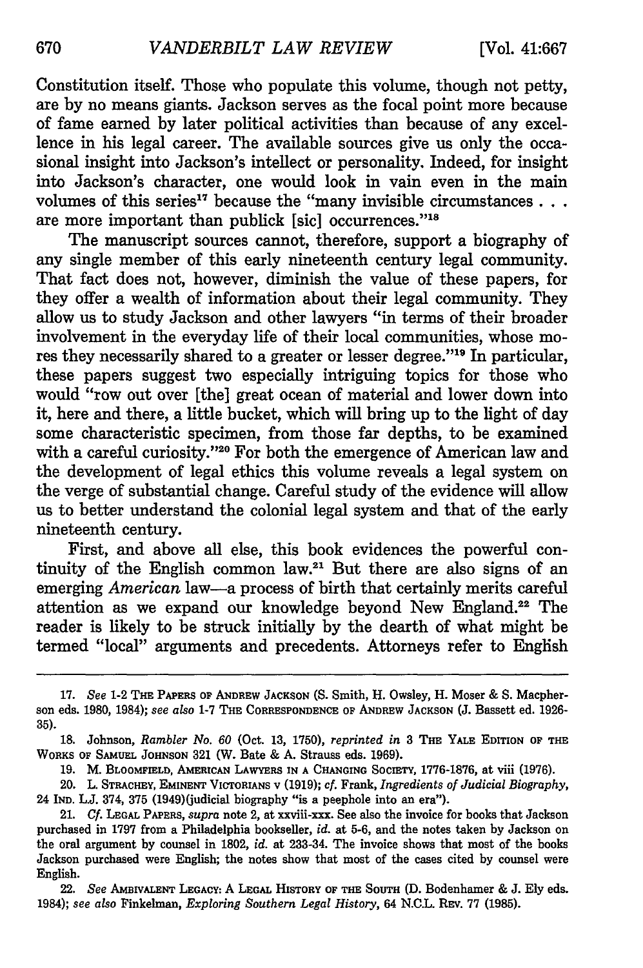Constitution itself. Those who populate this volume, though not petty, are by no means giants. Jackson serves as the focal point more because of fame earned by later political activities than because of any excellence in his legal career. The available sources give us only the occasional insight into Jackson's intellect or personality. Indeed, for insight into Jackson's character, one would look in vain even in the main volumes of this series<sup>17</sup> because the "many invisible circumstances... are more important than publick [sic] occurrences."18

The manuscript sources cannot, therefore, support a biography of any single member of this early nineteenth century legal community. That fact does not, however, diminish the value of these papers, for they offer a wealth of information about their legal community. They allow us to study Jackson and other lawyers "in terms of their broader involvement in the everyday life of their local communities, whose mores they necessarily shared to a greater or lesser degree."<sup>19</sup> In particular, these papers suggest two especially intriguing topics for those who would "row out over [the] great ocean of material and lower down into it, here and there, a little bucket, which will bring up to the light of day some characteristic specimen, from those far depths, to be examined with a careful curiosity."<sup>20</sup> For both the emergence of American law and the development of legal ethics this volume reveals a legal system on the verge of substantial change. Careful study of the evidence will allow us to better understand the colonial legal system and that of the early nineteenth century.

First, and above all else, this book evidences the powerful continuity of the English common law.<sup>21</sup> But there are also signs of an emerging *American* law-a process of birth that certainly merits careful attention as we expand our knowledge beyond New England.<sup>22</sup> The reader is likely to be struck initially by the dearth of what might be termed "local" arguments and precedents. Attorneys refer to English

**<sup>17.</sup>** *See* 1-2 **THE PAPERS OF** ANDREW **JACKSON (S.** Smith, H. Owsley, H. Moser & **S.** Macpherson eds. 1980, 1984); *see also* **1-7 THE CORRESPONDENCE OF** ANDREW **JACKSON (J.** Bassett ed. **1926- 35).**

**<sup>18.</sup>** Johnson, *Rambler No. 60* (Oct. 13, 1750), *reprinted in* 3 **THE** YALE **EDITION OF THE** WORKS **OF SAMUEL JOHNSON 321** (W. Bate & A. Strauss eds. 1969).

<sup>19.</sup> M. Bloomfield, American Lawyers in a Changing Society, 1776-1876, at viii (1976).

<sup>20.</sup> **L. STRACHEY, EMINENT VICTORIANS** V (1919); *cf.* Frank, *Ingredients of Judicial Biography,* 24 IND. L.J. 374, **375** (1949)judicial biography "is a peephole into an era").

<sup>21.</sup> Cf. **LEGAL** PAPERS, *supra* note 2, at xxviii-xxx. See also the invoice for books that Jackson purchased in 1797 from a Philadelphia bookseller, *id.* at 5-6, and the notes taken by Jackson on the oral argument by counsel in 1802, *id.* at 233-34. The invoice shows that most of the books Jackson purchased were English; the notes show that most of the cases cited by counsel were English.

<sup>22.</sup> *See* **AMBIVALENT LEGACY:** A **LEGAL HISTORY OF THE SOUTH (D.** Bodenhamer & **J. Ely** eds. 1984); *see also* Finkelman, *Exploring Southern Legal History,* 64 **N.C.L.** REv. **77 (1985).**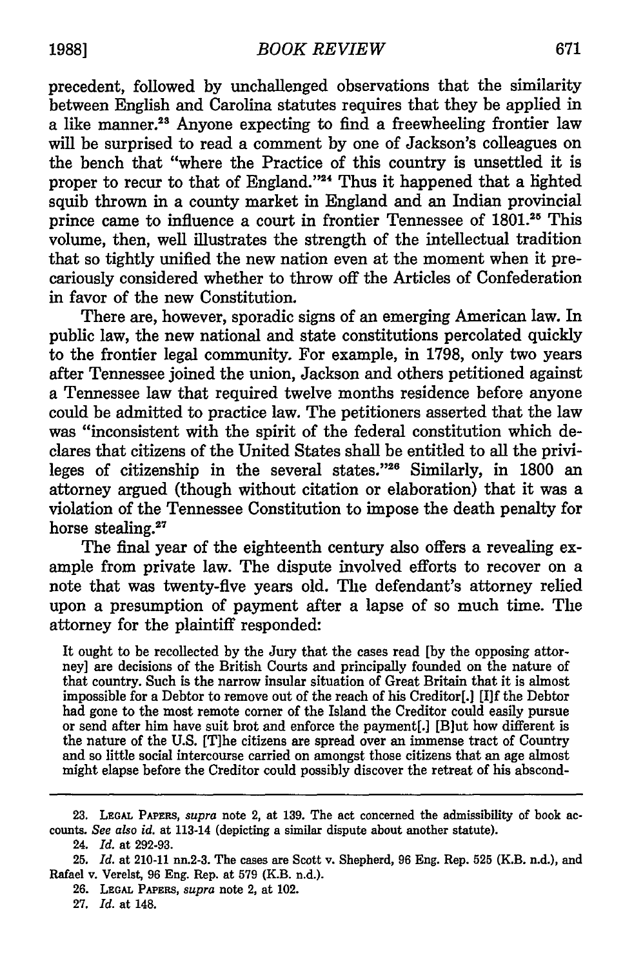precedent, followed by unchallenged observations that the similarity between English and Carolina statutes requires that they be applied in a like manner.<sup>23</sup> Anyone expecting to find a freewheeling frontier law will be surprised to read a comment by one of Jackson's colleagues on the bench that "where the Practice of this country is unsettled it is proper to recur to that of England."<sup>24</sup> Thus it happened that a lighted squib thrown in a county market in England and an Indian provincial prince came to influence a court in frontier Tennessee of 1801.<sup>25</sup> This volume, then, well illustrates the strength of the intellectual tradition that so tightly unified the new nation even at the moment when it precariously considered whether to throw off the Articles of Confederation in favor of the new Constitution.

There are, however, sporadic signs of an emerging American law. In public law, the new national and state constitutions percolated quickly to the frontier legal community. For example, in 1798, only two years after Tennessee joined the union, Jackson and others petitioned against a Tennessee law that required twelve months residence before anyone could be admitted to practice law. The petitioners asserted that the law was "inconsistent with the spirit of the federal constitution which declares that citizens of the United States shall be entitled to all the privileges of citizenship in the several states."<sup>26</sup> Similarly, in 1800 an attorney argued (though without citation or elaboration) that it was a violation of the Tennessee Constitution to impose the death penalty for horse stealing.<sup>27</sup>

The final year of the eighteenth century also offers a revealing example from private law. The dispute involved efforts to recover on a note that was twenty-five years old. The defendant's attorney relied upon a presumption of payment after a lapse of so much time. The attorney for the plaintiff responded:

It ought to be recollected by the Jury that the cases read [by the opposing attorney] are decisions of the British Courts and principally founded on the nature of that country. Such is the narrow insular situation of Great Britain that it is almost impossible for a Debtor to remove out of the reach of his Creditor[.] [I]f the Debtor had gone to the most remote corner of the Island the Creditor could easily pursue or send after him have suit brot and enforce the payment[.] [B]ut how different is the nature of the U.S. [T]he citizens are spread over an immense tract of Country and so little social intercourse carried on amongst those citizens that an age almost might elapse before the Creditor could possibly discover the retreat of his abscond-

23. **LEGAL PAPERS,** *supra* note 2, at **139.** The act concerned the admissibility of book accounts. *See also id.* at 113-14 (depicting a similar dispute about another statute).

**26. LEGAL PAPEaS,** *supra* note 2, at 102.

<sup>24.</sup> *Id.* at 292-93.

<sup>25.</sup> *Id.* at 210-11 nn.2-3. The cases are Scott v. Shepherd, 96 Eng. Rep. 525 (K.B. n.d.), and Rafael v. Verelst, 96 Eng. Rep. at 579 (K.B. n.d.).

**<sup>27.</sup>** *Id.* at 148.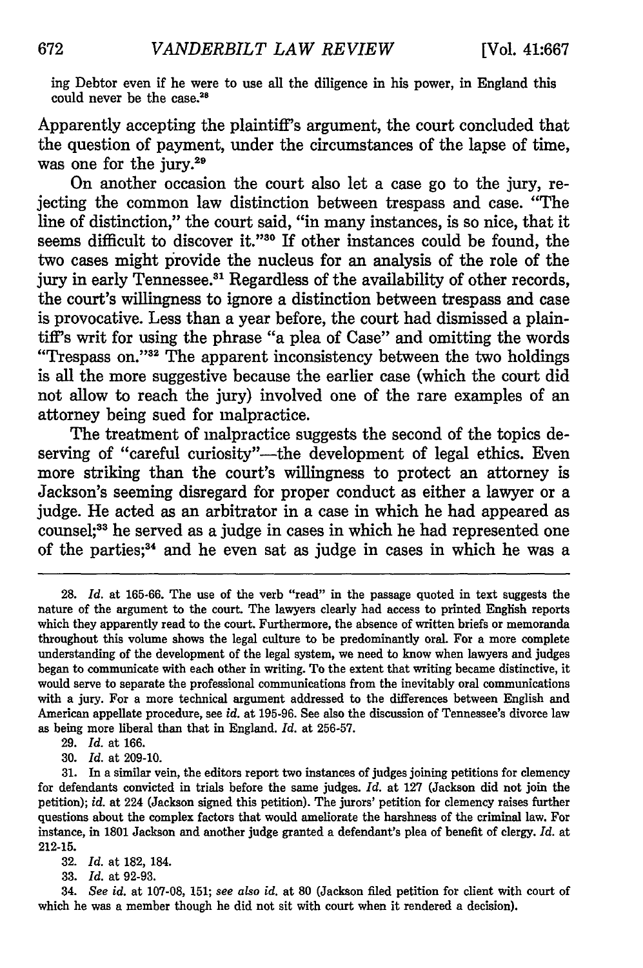ing Debtor even if he were to use all the diligence in his power, in England this could never be the case.<sup>28</sup>

Apparently accepting the plaintiff's argument, the court concluded that the question of payment, under the circumstances of the lapse of time, was one for the jury.<sup>29</sup>

On another occasion the court also let a case go to the jury, rejecting the common law distinction between trespass and case. "The line of distinction," the court said, "in many instances, is so nice, that it seems difficult to discover it."<sup>30</sup> If other instances could be found, the two cases might provide the nucleus for an analysis of the role of the jury in early Tennessee.<sup>31</sup> Regardless of the availability of other records, the court's willingness to ignore a distinction between trespass and case is provocative. Less than a year before, the court had dismissed a plaintiff's writ for using the phrase "a plea of Case" and omitting the words "Trespass on."<sup>32</sup> The apparent inconsistency between the two holdings is all the more suggestive because the earlier case (which the court did not allow to reach the jury) involved one of the rare examples of an attorney being sued for malpractice.

The treatment of malpractice suggests the second of the topics deserving of "careful curiosity"--- the development of legal ethics. Even more striking than the court's willingness to protect an attorney is Jackson's seeming disregard for proper conduct as either a lawyer or a judge. He acted as an arbitrator in a case in which he had appeared as counsel;<sup>33</sup> he served as a judge in cases in which he had represented one of the parties;<sup>34</sup> and he even sat as judge in cases in which he was a

- 29. *Id.* at 166.
- 30. *Id.* at 209-10.

31. In a similar vein, the editors report two instances of judges joining petitions for clemency for defendants convicted in trials before the same judges. *Id.* at 127 (Jackson did not join the petition); *id.* at 224 (Jackson signed this petition). The jurors' petition for clemency raises further questions about the complex factors that would ameliorate the harshness of the criminal law. For instance, in 1801 Jackson and another judge granted a defendant's plea of benefit of clergy. *Id.* at 212-15.

- 32. *Id.* at 182, 184.
- 33. *Id.* at 92-93.

34. *See id.* at 107-08, 151; *see also id.* at **80** (Jackson filed petition for client with court of which he was a member though he did not sit with court when it rendered a decision).

<sup>28.</sup> *Id.* at 165-66. The use of the verb "read" in the passage quoted in text suggests the nature of the argument to the court. The lawyers clearly had access to printed English reports which they apparently read to the court. Furthermore, the absence of written briefs or memoranda throughout this volume shows the legal culture to be predominantly oral. For a more complete understanding of the development of the legal system, we need to know when lawyers and judges began to communicate with each other in writing. To the extent that writing became distinctive, it would serve to separate the professional communications from the inevitably oral communications with a jury. For a more technical argument addressed to the differences between English and American appellate procedure, see *id.* at 195-96. See also the discussion of Tennessee's divorce law as being more liberal than that in England. *Id.* at 256-57.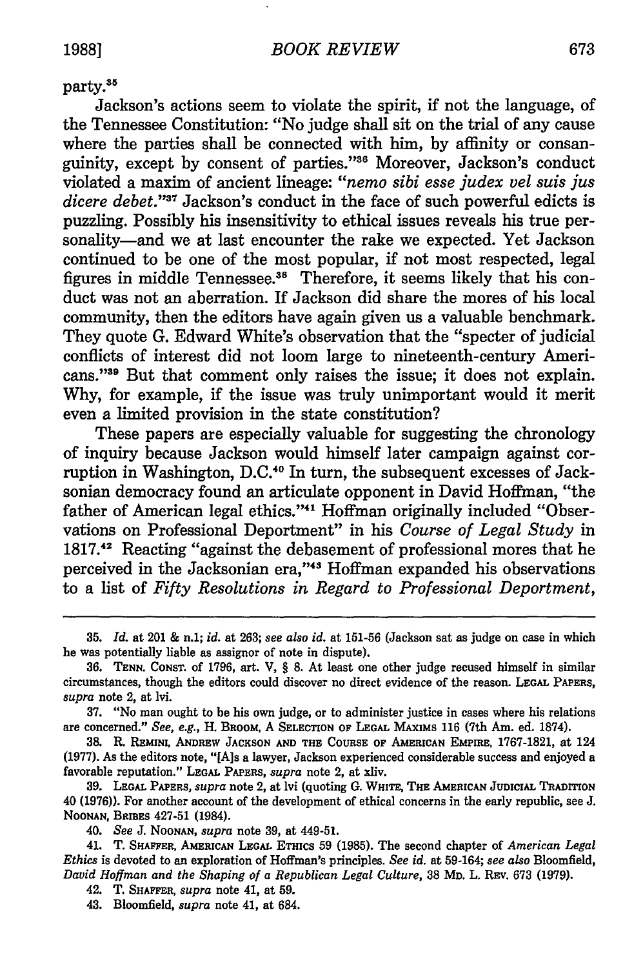party.<sup>35</sup>

Jackson's actions seem to violate the spirit, if not the language, of the Tennessee Constitution: "No judge shall sit on the trial of any cause where the parties shall be connected with him, by affinity or consanguinity, except by consent of parties."<sup>36</sup> Moreover, Jackson's conduct violated a maxim of ancient lineage: *"nemo sibi esse judex* vel *suis jus dicere debet.*"<sup>37</sup> Jackson's conduct in the face of such powerful edicts is puzzling. Possibly his insensitivity to ethical issues reveals his true personality-and we at last encounter the rake we expected. Yet Jackson continued to be one of the most popular, if not most respected, legal figures in middle Tennessee.<sup>38</sup> Therefore, it seems likely that his conduct was not an aberration. If Jackson did share the mores of his local community, then the editors have again given us a valuable benchmark. They quote G. Edward White's observation that the "specter of judicial conflicts of interest did not loom large to nineteenth-century Americans."<sup>39</sup> But that comment only raises the issue; it does not explain. Why, for example, if the issue was truly unimportant would it merit even a limited provision in the state constitution?

These papers are especially valuable for suggesting the chronology of inquiry because Jackson would himself later campaign against corruption in Washington, D.C.<sup>40</sup> In turn, the subsequent excesses of Jacksonian democracy found an articulate opponent in David Hoffman, "the father of American legal ethics."<sup>41</sup> Hoffman originally included "Observations on Professional Deportment" in his *Course of Legal Study* in 1817.<sup>42</sup> Reacting "against the debasement of professional mores that he perceived in the Jacksonian era,"<sup>43</sup> Hoffman expanded his observations to a list of *Fifty Resolutions in Regard to Professional Deportment,*

**<sup>35.</sup>** *Id.* at 201 & n.1; *id.* at 263; *see also id.* at 151-56 (Jackson sat as judge on case in which he was potentially liable as assignor of note in dispute).

<sup>36.</sup> **TENN. CONST.** of 1796, art. V, § 8. At least one other judge recused himself in similar circumstances, though the editors could discover no direct evidence of the reason. **LEGAL** PAPERS, *supra* note 2, at Ivi.

<sup>37. &</sup>quot;No man ought to be his own judge, or to administer justice in cases where his relations are concerned." *See, e.g.,* H. BROOM, A SELECTON **OF LEGAL** MAXIMS 116 (7th Am. ed. 1874).

**<sup>38.</sup>** R. **REMINI, ANDREW JACKSON** AND THE **COURSE** OF AMERICAN EMPIRE, **1767-1821,** at 124 **(1977).** As the editors note, "[A]s a lawyer, Jackson experienced considerable success and enjoyed a favorable reputation." **LEGAL** PAPERS, *supra* note 2, at xliv.

**<sup>39.</sup> LEGAL** PAPERS, *supra* note 2, at **Ivi** (quoting **G. WHITE,** THE AMERICAN JUDICIAL **TRADITION** 40 **(1976)).** For another account of the development of ethical concerns in the early republic, see **J.** NOONAN, BRIBES 427-51 (1984).

<sup>40.</sup> *See* **J.** *NOONAN, supra* note **39,** at 449-51.

<sup>41.</sup> T. **SHAFFER, AMERICAN LEGAL ETHICS 59 (1985).** The second chapter of *American Legal Ethics* **is devoted** to **an exploration of Hoffman's principles.** *See id.* at 59-164; *see also* Bloomfield, *David Hoffman and the Shaping of a Republican Legal Culture,* **38** MD. L. REv. **673 (1979).**

<sup>42.</sup> T. **SHAFFER,** *supra* note 41, at **59.**

<sup>43.</sup> Bloomfield, *supra* note 41, at 684.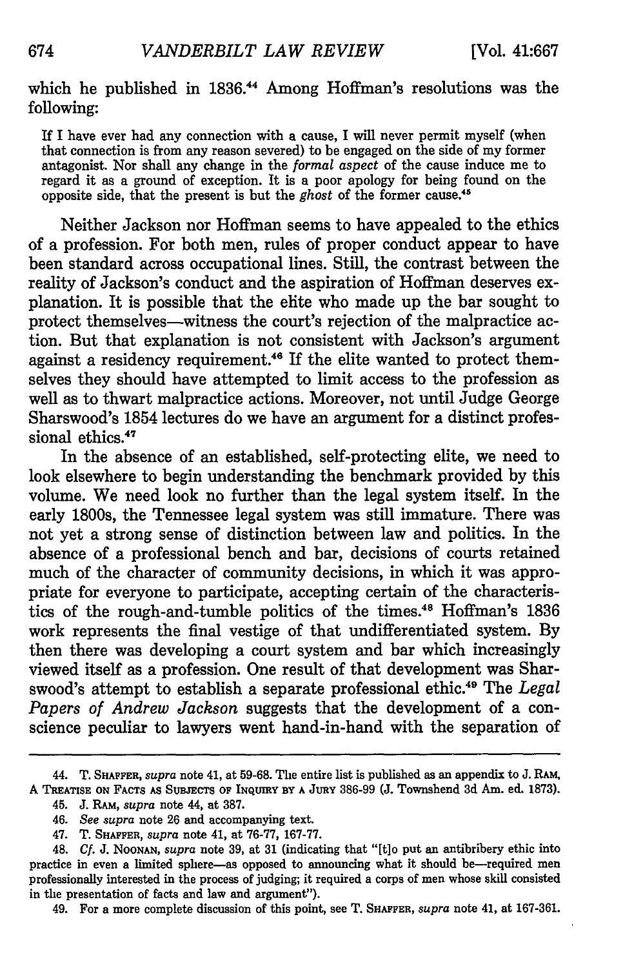which he published in **1836.<sup>44</sup>**Among Hoffman's resolutions was the following:

**If** I have ever had any connection with a cause, I will never permit myself (when that connection is from any reason severed) to be engaged on the side of my former antagonist. Nor shall any change in the *formal aspect* of the cause induce me to regard it as a ground of exception. It is a poor apology for being found on the opposite side, that the present is but the *ghost* of the former cause.4

Neither Jackson nor Hoffman seems to have appealed to the ethics of a profession. For both men, rules of proper conduct appear to have been standard across occupational lines. Still, the contrast between the reality of Jackson's conduct and the aspiration of Hoffman deserves explanation. It is possible that the elite who made up the bar sought to protect themselves—witness the court's rejection of the malpractice action. But that explanation is not consistent with Jackson's argument against a residency requirement.<sup>46</sup> If the elite wanted to protect themselves they should have attempted to limit access to the profession as well as to thwart malpractice actions. Moreover, not until Judge George Sharswood's 1854 lectures do we have an argument for a distinct professional ethics.<sup>47</sup>

In the absence of an established, self-protecting elite, we need to look elsewhere to begin understanding the benchmark provided by this volume. We need look no further than the legal system itself. In the early 1800s, the Tennessee legal system was still immature. There was not yet a strong sense of distinction between law and politics. In the absence of a professional bench and bar, decisions of courts retained much of the character of community decisions, in which it was appropriate for everyone to participate, accepting certain of the characteristics of the rough-and-tumble politics of the times.<sup>48</sup> Hoffman's 1836 work represents the final vestige of that undifferentiated system. By then there was developing a court system and bar which increasingly viewed itself as a profession. One result of that development was Sharswood's attempt to establish a separate professional ethic.<sup>49</sup> The *Legal Papers of Andrew Jackson* suggests that the development of a conscience peculiar to lawyers went hand-in-hand with the separation of

49. For a more complete discussion of this point, see T. SHAFFER, *supra* note 41, at **167-361.**

<sup>44.</sup> T. **SHAFFER,** *supra* note 41, at **59-68.** The entire list is published as an appendix to **J. RAM,** A **TREATISE ON FACTS AS SUBJECTS OF INQUIRY BY A JURY** 386-99 **(J.** Townshend 3d Am. ed. **1873).**

<sup>45.</sup> J. **RAM,** *supra* note 44, at **387.**

<sup>46.</sup> *See supra* note **26** and accompanying text.

<sup>47.</sup> T. **SHAFFER,** *supra* note 41, at 76-77, 167-77.

<sup>48.</sup> *Cf.* J. **NOONAN,** *supra* note 39, at 31 (indicating that "[tlo put an antibribery ethic into practice in even a limited sphere-as opposed to announcing what it should be-required men professionally interested in the process of judging; it required a corps of men whose skill consisted in the presentation of facts and law and argument").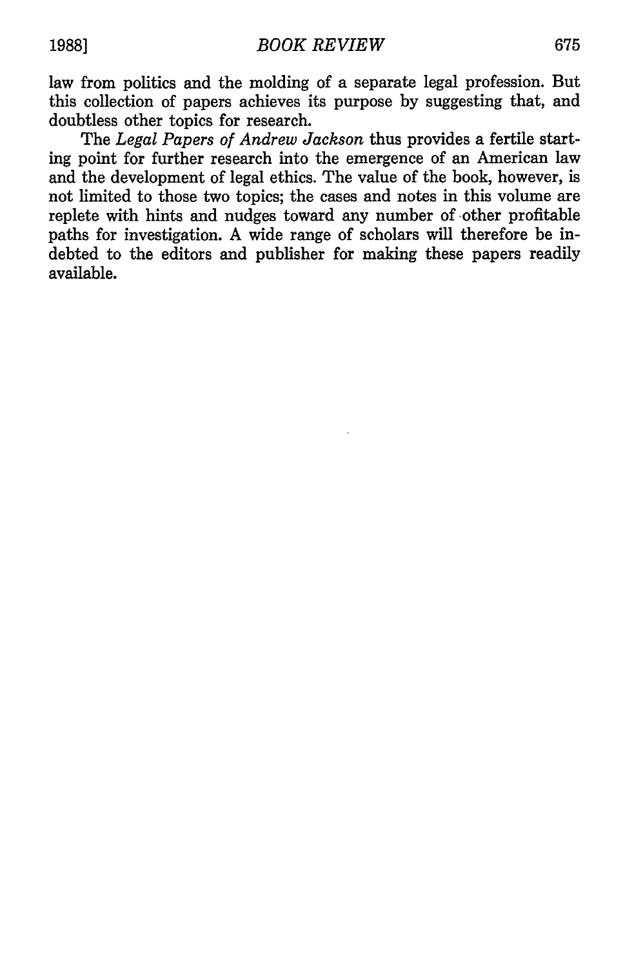law from politics and the molding of a separate legal profession. But this collection of papers achieves its purpose by suggesting that, and doubtless other topics for research.

The *Legal Papers of Andrew Jackson* thus provides a fertile starting point for further research into the emergence of an American law and the development of legal ethics. The value of the book, however, is not limited to those two topics; the cases and notes in this volume are replete with hints and nudges toward any number of other profitable paths for investigation. A wide range of scholars will therefore be indebted to the editors and publisher for making these papers readily available.